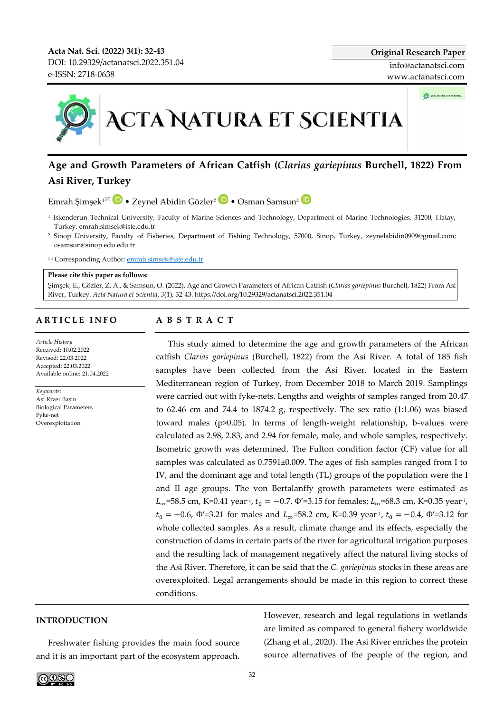**Acta Nat. Sci. (2022) 3(1): 32-43** DOI[: 10.29329/actanatsci.2022.351.04](https://doi.org/10.29329/actanatsci.2022.351.04) e-ISSN: 2718-0638



# **Age and Growth Parameters of African Catfish (***Clarias gariepinus* **Burchell, 1822) From Asi River, Turkey**

Emrah Simsek<sup>1⊠ (D</sup> • Zeynel Abidin Gözler<sup>2 (D</sup> • Osman Samsun<sup>2</sup> <sup>(D</sup>

- 1 Iskenderun Technical University, Faculty of Marine Sciences and Technology, Department of Marine Technologies, 31200, Hatay, Turkey, emrah.simsek@iste.edu.tr
- <sup>2</sup> Sinop University, Faculty of Fisheries, Department of Fishing Technology, 57000, Sinop, Turkey, zeynelabidin0909@gmail.com; osamsun@sinop.edu.edu.tr
- Corresponding Author: [emrah.simsek@iste.edu.tr](mailto:emrah.simsek@iste.edu.tr)

### **Please cite this paper as follows:**

Şimşek, E., Gözler, Z. A., & Samsun, O. (2022). Age and Growth Parameters of African Catfish (*Clarias gariepinus* Burchell, 1822) From Asi River, Turkey. *Acta Natura et Scientia*, *3*(1), 32-43. https://doi.org/10.29329/actanatsci.2022.351.04

### **A R T I C L E I N F O**

*Article History* Received: 10.02.2022 Revised: 22.03.2022 Accepted: 22.03.2022 Available online: 21.04.2022

*Keywords:*  Asi River Basin Biological Parameters Fyke-net Overexploitation

### **A B S T R A C T**

This study aimed to determine the age and growth parameters of the African catfish *Clarias gariepinus* (Burchell, 1822) from the Asi River. A total of 185 fish samples have been collected from the Asi River, located in the Eastern Mediterranean region of Turkey, from December 2018 to March 2019. Samplings were carried out with fyke-nets. Lengths and weights of samples ranged from 20.47 to 62.46 cm and 74.4 to 1874.2  $g$ , respectively. The sex ratio (1:1.06) was biased toward males (p>0.05). In terms of length-weight relationship, b-values were calculated as 2.98, 2.83, and 2.94 for female, male, and whole samples, respectively. Isometric growth was determined. The Fulton condition factor (CF) value for all samples was calculated as 0.7591±0.009. The ages of fish samples ranged from I to IV, and the dominant age and total length (TL) groups of the population were the I and II age groups. The von Bertalanffy growth parameters were estimated as  $L_{\infty}$ =58.5 cm, K=0.41 year<sup>-1</sup>,  $t_{0}$  =  $-0.7$ , Φ'=3.15 for females;  $L_{\infty}$ =68.3 cm, K=0.35 year<sup>-1</sup>,  $t_0 = -0.6$ , Φ'=3.21 for males and  $L_{\infty}$ =58.2 cm, K=0.39 year<sup>-1</sup>,  $t_0 = -0.4$ , Φ'=3.12 for whole collected samples. As a result, climate change and its effects, especially the construction of dams in certain parts of the river for agricultural irrigation purposes and the resulting lack of management negatively affect the natural living stocks of the Asi River. Therefore, it can be said that the *C. gariepinus* stocks in these areas are overexploited. Legal arrangements should be made in this region to correct these conditions.

# **INTRODUCTION**

Freshwater fishing provides the main food source and it is an important part of the ecosystem approach. However, research and legal regulations in wetlands are limited as compared to general fishery worldwide (Zhang et al., 2020). The Asi River enriches the protein source alternatives of the people of the region, and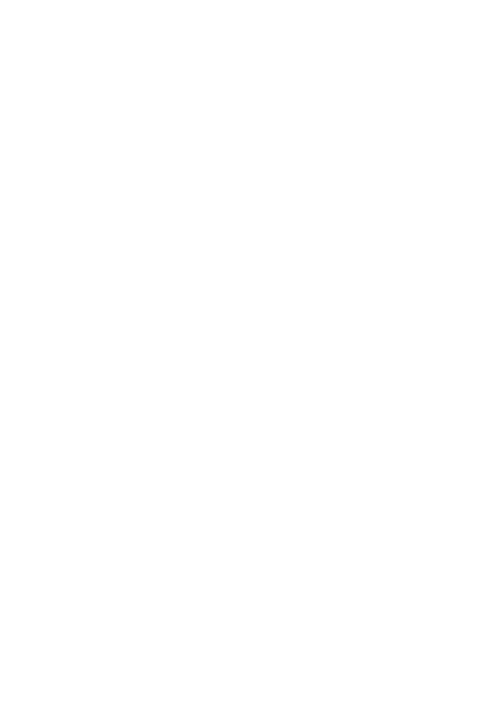Acta Nat. Sci. (2022) 3(1): 32-43 10.2928ctanatsci.2022.35.04 D  $e$ -SSN: 278 -068



### Age and Growth Parameters of African Catfish (Clarias gariepinus Burchell, 1822) From Asi River, Turkey

 $\overline{2}$ 

Simsek **Zuel Atth Sun Sasun** mra *ler* 

<sup>1</sup> skndrun Tchical wivrsity acultyof Mine Sciences and Tchology Dpartent of Mine Tchologies, 31200, htay  $\bar{u}$ rkyenalsise $\bar{u}$ ete.ed.tr

<sup>2</sup> Sinop bliversity aculty of Esbries, Epartunt of Fsing Tchology 000, Sinop, Tirky , *exelatin00@mil.com* osasun@nop.ed.ed.tr

 $K$  Corresponing Authr: eralsise@te.ed.tr

Please cite this paper as follows:

Simsek,  $ler. A.,$ Samsun(2022). Age and wiranters of African Catish Clarias gariepinu Brchll, 182) ForAsi  $\ddot{\phantom{a}}$ Fer, Turky Acta Natura et Scientia3(1), 32-43. ttps://i.org/10.2928ctanatsci.202 2.351.04

## ARTICLE INFO

**Article History** Reind 10.02.2022 **Rised** 22.03.2022 Accepted 22.03.2022 Auilabe online: 21.04.2022

Keywords: Asi Fer Bsin **B**logical Franters  $-net$ **Oreploitation** 

### ABSTRACT

| <b>To studainato dierine th age and rothparanters of</b>                                                       | th Arican |
|----------------------------------------------------------------------------------------------------------------|-----------|
| catish Clarias gariepinus(Brcbll, 182) fom the Asi Fur. A total of 18ish                                       |           |
| saples by ben collected romth Asi For, located in the Estern                                                   |           |
| <b>Mterranean region of Trky rondcebr 2018to Mch2019 Saplings</b>                                              |           |
| we carriedut with mets. ength and ights of saples ranged to the same of the sense of the carried of the care o | 0.47      |
| to $\beta$ .46cm and $\pi$ .4 to 18.2 g, respectively $\overline{\mathfrak{h}}$ sextratio (1:1.06 us tased     |           |
| towndules ( $p\theta.05$ h term of length $-wgh$ relations tp, b -alues we                                     |           |
| calculated $\cos 2.92.8$ , and $\sin 9$ br ende, nde, and the saples, respectively                             |           |
| sout ric growns derined a filton condition factor (CF ulue br all                                              |           |
| samples as calculated as 0. 1 0.00. e ages o is samples ranged                                                 | $r_{0}$   |
| Nand the dinant age and total length ( <i>Leroups</i> of the population we                                     | $t$ b l   |
| andl age groups . In on Brtalantygrothparanters we estintedas                                                  |           |
| $\frac{1}{2}$ =StepK0.41 year <sup>1</sup> , 0., 3.15br bales; $\frac{1}{2}$ =StepK0.35 yar <sup>1</sup> ,     |           |
| 0. , $\frac{3.21}{2}$ br ales and $\frac{1}{2}$ cmK $\theta$ .39 ar $\frac{1}{7}$ , 0.4, $\frac{3.12}{2}$ br   |           |
| ble collectedsaples. As a result, clinte chage and its eects, especially the                                   |           |
| construction of dsin certain parts of th rivr br agricultural irrigation purposes                              |           |
| and a resulting lacko tanagemut negativlyaect to natural livng                                                 | stock of  |
| th Asi Fer. Threbre, it can b said at the<br>C. gariepinustock in the areas are                                |           |
| ovreploitedegal arrangemits shuld<br><b>b</b> <i>nd</i> in the region to correct thee                          |           |
| condtions.                                                                                                     |           |

### **INTRODUCTION**

Festater ising prouds th ain bodsource andt is an iportant part ofthecosytempproach bowr, researchandlegal regulations in wiland are liitedas coparedo general isbryorlik (ang et al., 2020). In Asi For enrices th e protein source alternatives of the people of th region, and